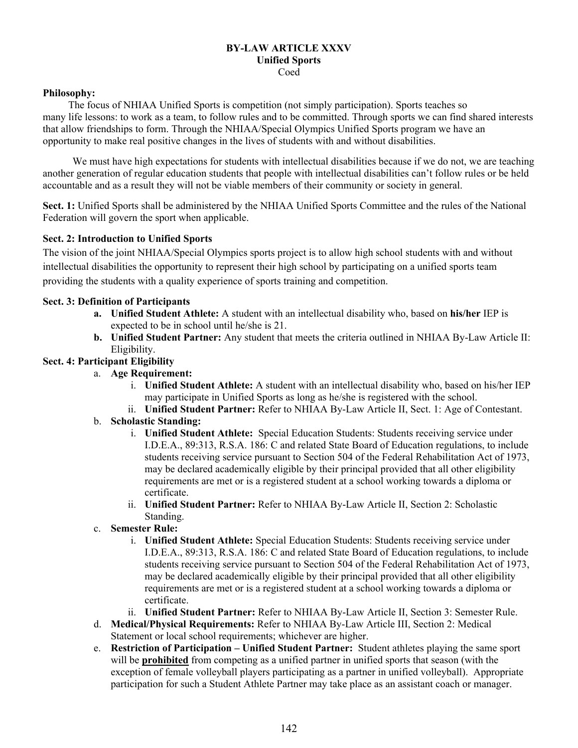#### **BY-LAW ARTICLE XXXV Unified Sports**  Coed

#### **Philosophy:**

 The focus of NHIAA Unified Sports is competition (not simply participation). Sports teaches so many life lessons: to work as a team, to follow rules and to be committed. Through sports we can find shared interests that allow friendships to form. Through the NHIAA/Special Olympics Unified Sports program we have an opportunity to make real positive changes in the lives of students with and without disabilities.

We must have high expectations for students with intellectual disabilities because if we do not, we are teaching another generation of regular education students that people with intellectual disabilities can't follow rules or be held accountable and as a result they will not be viable members of their community or society in general.

**Sect. 1:** Unified Sports shall be administered by the NHIAA Unified Sports Committee and the rules of the National Federation will govern the sport when applicable.

## **Sect. 2: Introduction to Unified Sports**

The vision of the joint NHIAA/Special Olympics sports project is to allow high school students with and without intellectual disabilities the opportunity to represent their high school by participating on a unified sports team providing the students with a quality experience of sports training and competition.

### **Sect. 3: Definition of Participants**

- **a. Unified Student Athlete:** A student with an intellectual disability who, based on **his/her** IEP is expected to be in school until he/she is 21.
- **b. Unified Student Partner:** Any student that meets the criteria outlined in NHIAA By-Law Article II: Eligibility.

## **Sect. 4: Participant Eligibility**

- a. **Age Requirement:** 
	- i. **Unified Student Athlete:** A student with an intellectual disability who, based on his/her IEP may participate in Unified Sports as long as he/she is registered with the school.
	- ii. **Unified Student Partner:** Refer to NHIAA By-Law Article II, Sect. 1: Age of Contestant.
- b. **Scholastic Standing:**
	- i. **Unified Student Athlete:** Special Education Students: Students receiving service under I.D.E.A., 89:313, R.S.A. 186: C and related State Board of Education regulations, to include students receiving service pursuant to Section 504 of the Federal Rehabilitation Act of 1973, may be declared academically eligible by their principal provided that all other eligibility requirements are met or is a registered student at a school working towards a diploma or certificate.
	- ii. **Unified Student Partner:** Refer to NHIAA By-Law Article II, Section 2: Scholastic Standing.
- c. **Semester Rule:** 
	- i. **Unified Student Athlete:** Special Education Students: Students receiving service under I.D.E.A., 89:313, R.S.A. 186: C and related State Board of Education regulations, to include students receiving service pursuant to Section 504 of the Federal Rehabilitation Act of 1973, may be declared academically eligible by their principal provided that all other eligibility requirements are met or is a registered student at a school working towards a diploma or certificate.
	- ii. **Unified Student Partner:** Refer to NHIAA By-Law Article II, Section 3: Semester Rule.
- d. **Medical/Physical Requirements:** Refer to NHIAA By-Law Article III, Section 2: Medical Statement or local school requirements; whichever are higher.
- e. **Restriction of Participation Unified Student Partner:** Student athletes playing the same sport will be **prohibited** from competing as a unified partner in unified sports that season (with the exception of female volleyball players participating as a partner in unified volleyball). Appropriate participation for such a Student Athlete Partner may take place as an assistant coach or manager.